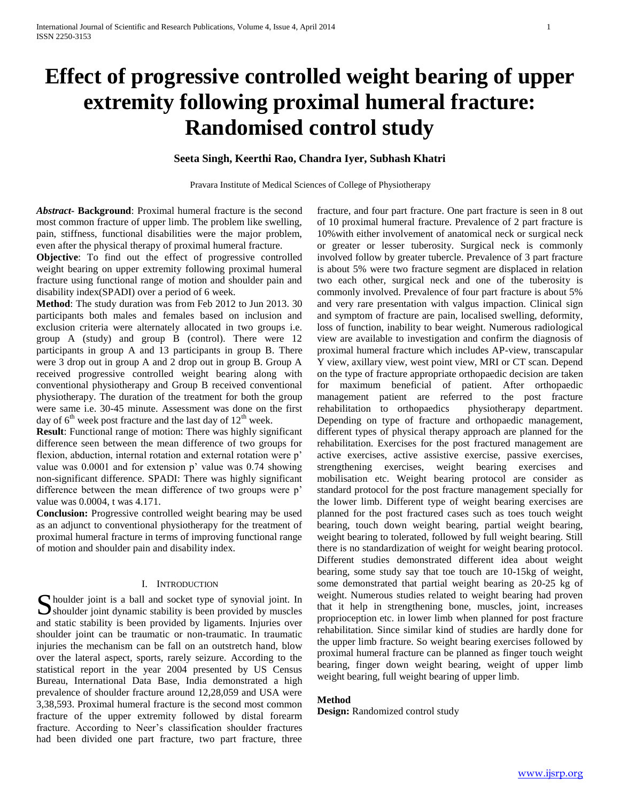# **Effect of progressive controlled weight bearing of upper extremity following proximal humeral fracture: Randomised control study**

**Seeta Singh, Keerthi Rao, Chandra Iyer, Subhash Khatri**

Pravara Institute of Medical Sciences of College of Physiotherapy

*Abstract***- Background**: Proximal humeral fracture is the second most common fracture of upper limb. The problem like swelling, pain, stiffness, functional disabilities were the major problem, even after the physical therapy of proximal humeral fracture.

**Objective**: To find out the effect of progressive controlled weight bearing on upper extremity following proximal humeral fracture using functional range of motion and shoulder pain and disability index(SPADI) over a period of 6 week.

**Method**: The study duration was from Feb 2012 to Jun 2013. 30 participants both males and females based on inclusion and exclusion criteria were alternately allocated in two groups i.e. group A (study) and group B (control). There were 12 participants in group A and 13 participants in group B. There were 3 drop out in group A and 2 drop out in group B. Group A received progressive controlled weight bearing along with conventional physiotherapy and Group B received conventional physiotherapy. The duration of the treatment for both the group were same i.e. 30-45 minute. Assessment was done on the first day of  $6<sup>th</sup>$  week post fracture and the last day of  $12<sup>th</sup>$  week.

**Result**: Functional range of motion: There was highly significant difference seen between the mean difference of two groups for flexion, abduction, internal rotation and external rotation were p' value was 0.0001 and for extension p' value was 0.74 showing non-significant difference. SPADI: There was highly significant difference between the mean difference of two groups were p' value was 0.0004, t was 4.171.

**Conclusion:** Progressive controlled weight bearing may be used as an adjunct to conventional physiotherapy for the treatment of proximal humeral fracture in terms of improving functional range of motion and shoulder pain and disability index.

# I. INTRODUCTION

houlder joint is a ball and socket type of synovial joint. In Shoulder joint is a ball and socket type of synovial joint. In shoulder joint dynamic stability is been provided by muscles and static stability is been provided by ligaments. Injuries over shoulder joint can be traumatic or non-traumatic. In traumatic injuries the mechanism can be fall on an outstretch hand, blow over the lateral aspect, sports, rarely seizure. According to the statistical report in the year 2004 presented by US Census Bureau, International Data Base, India demonstrated a high prevalence of shoulder fracture around 12,28,059 and USA were 3,38,593. Proximal humeral fracture is the second most common fracture of the upper extremity followed by distal forearm fracture. According to Neer's classification shoulder fractures had been divided one part fracture, two part fracture, three

fracture, and four part fracture. One part fracture is seen in 8 out of 10 proximal humeral fracture. Prevalence of 2 part fracture is 10%with either involvement of anatomical neck or surgical neck or greater or lesser tuberosity. Surgical neck is commonly involved follow by greater tubercle. Prevalence of 3 part fracture is about 5% were two fracture segment are displaced in relation two each other, surgical neck and one of the tuberosity is commonly involved. Prevalence of four part fracture is about 5% and very rare presentation with valgus impaction. Clinical sign and symptom of fracture are pain, localised swelling, deformity, loss of function, inability to bear weight. Numerous radiological view are available to investigation and confirm the diagnosis of proximal humeral fracture which includes AP-view, transcapular Y view, axillary view, west point view, MRI or CT scan. Depend on the type of fracture appropriate orthopaedic decision are taken for maximum beneficial of patient. After orthopaedic management patient are referred to the post fracture rehabilitation to orthopaedics physiotherapy department. Depending on type of fracture and orthopaedic management, different types of physical therapy approach are planned for the rehabilitation. Exercises for the post fractured management are active exercises, active assistive exercise, passive exercises, strengthening exercises, weight bearing exercises and mobilisation etc. Weight bearing protocol are consider as standard protocol for the post fracture management specially for the lower limb. Different type of weight bearing exercises are planned for the post fractured cases such as toes touch weight bearing, touch down weight bearing, partial weight bearing, weight bearing to tolerated, followed by full weight bearing. Still there is no standardization of weight for weight bearing protocol. Different studies demonstrated different idea about weight bearing, some study say that toe touch are 10-15kg of weight, some demonstrated that partial weight bearing as 20-25 kg of weight. Numerous studies related to weight bearing had proven that it help in strengthening bone, muscles, joint, increases proprioception etc. in lower limb when planned for post fracture rehabilitation. Since similar kind of studies are hardly done for the upper limb fracture. So weight bearing exercises followed by proximal humeral fracture can be planned as finger touch weight bearing, finger down weight bearing, weight of upper limb weight bearing, full weight bearing of upper limb.

## **Method**

**Design:** Randomized control study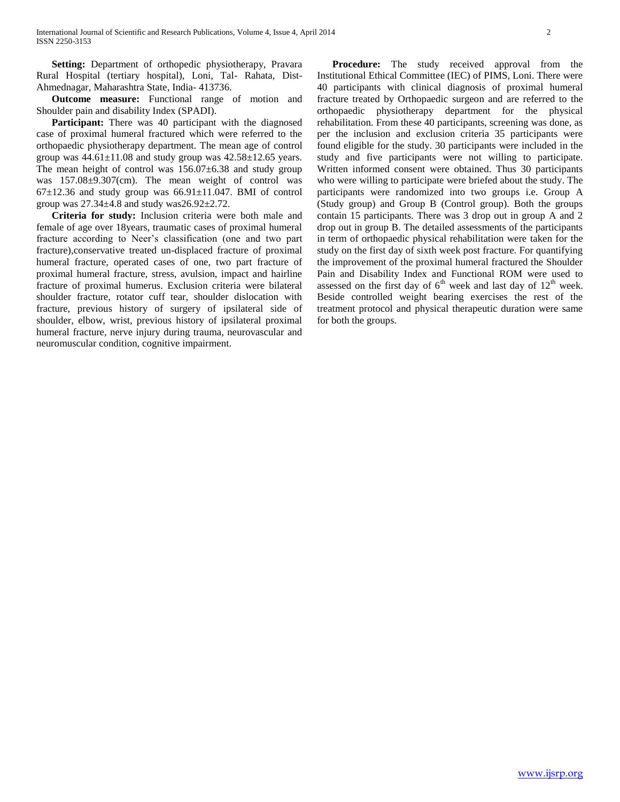**Setting:** Department of orthopedic physiotherapy, Pravara Rural Hospital (tertiary hospital), Loni, Tal- Rahata, Dist-Ahmednagar, Maharashtra State, India- 413736.

 **Outcome measure:** Functional range of motion and Shoulder pain and disability Index (SPADI).

**Participant:** There was 40 participant with the diagnosed case of proximal humeral fractured which were referred to the orthopaedic physiotherapy department. The mean age of control group was  $44.61 \pm 11.08$  and study group was  $42.58 \pm 12.65$  years. The mean height of control was  $156.07\pm6.38$  and study group was 157.08±9.307(cm). The mean weight of control was  $67\pm12.36$  and study group was  $66.91\pm11.047$ . BMI of control group was  $27.34\pm4.8$  and study was $26.92\pm2.72$ .

 **Criteria for study:** Inclusion criteria were both male and female of age over 18years, traumatic cases of proximal humeral fracture according to Neer's classification (one and two part fracture),conservative treated un-displaced fracture of proximal humeral fracture, operated cases of one, two part fracture of proximal humeral fracture, stress, avulsion, impact and hairline fracture of proximal humerus. Exclusion criteria were bilateral shoulder fracture, rotator cuff tear, shoulder dislocation with fracture, previous history of surgery of ipsilateral side of shoulder, elbow, wrist, previous history of ipsilateral proximal humeral fracture, nerve injury during trauma, neurovascular and neuromuscular condition, cognitive impairment.

**Procedure:** The study received approval from the Institutional Ethical Committee (IEC) of PIMS, Loni. There were 40 participants with clinical diagnosis of proximal humeral fracture treated by Orthopaedic surgeon and are referred to the orthopaedic physiotherapy department for the physical rehabilitation. From these 40 participants, screening was done, as per the inclusion and exclusion criteria 35 participants were found eligible for the study. 30 participants were included in the study and five participants were not willing to participate. Written informed consent were obtained. Thus 30 participants who were willing to participate were briefed about the study. The participants were randomized into two groups i.e. Group A (Study group) and Group B (Control group). Both the groups contain 15 participants. There was 3 drop out in group A and 2 drop out in group B. The detailed assessments of the participants in term of orthopaedic physical rehabilitation were taken for the study on the first day of sixth week post fracture. For quantifying the improvement of the proximal humeral fractured the Shoulder Pain and Disability Index and Functional ROM were used to assessed on the first day of  $6<sup>th</sup>$  week and last day of  $12<sup>th</sup>$  week. Beside controlled weight bearing exercises the rest of the treatment protocol and physical therapeutic duration were same for both the groups.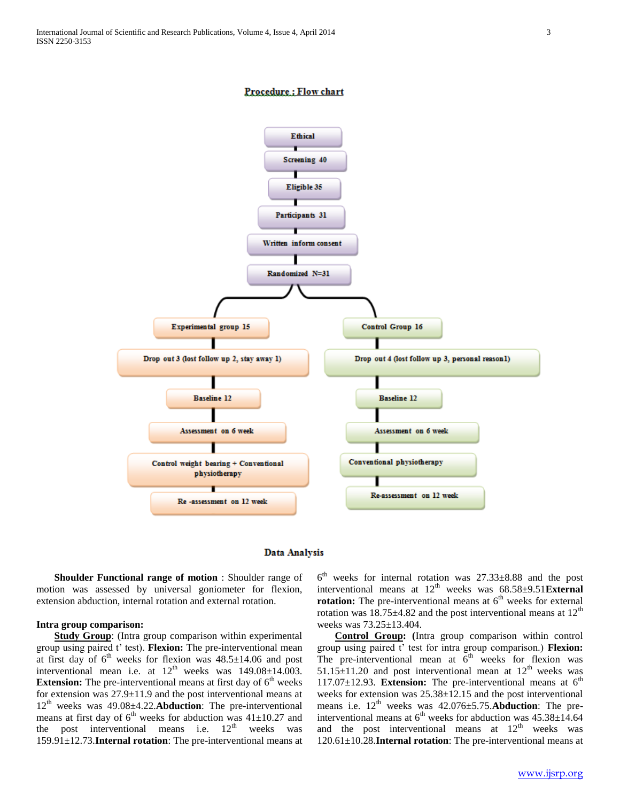# **Procedure: Flow chart**





 **Shoulder Functional range of motion** : Shoulder range of motion was assessed by universal goniometer for flexion, extension abduction, internal rotation and external rotation.

#### **Intra group comparison:**

 **Study Group**: (Intra group comparison within experimental group using paired t' test). **Flexion:** The pre-interventional mean at first day of  $6<sup>th</sup>$  weeks for flexion was  $48.5 \pm 14.06$  and post interventional mean i.e. at  $12<sup>th</sup>$  weeks was  $149.08 \pm 14.003$ . **Extension:** The pre-interventional means at first day of  $6<sup>th</sup>$  weeks for extension was 27.9±11.9 and the post interventional means at 12th weeks was 49.08±4.22.**Abduction**: The pre-interventional means at first day of  $6<sup>th</sup>$  weeks for abduction was 41 $\pm$ 10.27 and the post interventional means i.e.  $12<sup>th</sup>$  weeks was 159.91±12.73.**Internal rotation**: The pre-interventional means at

6 th weeks for internal rotation was 27.33±8.88 and the post interventional means at  $12<sup>th</sup>$  weeks was  $68.58\pm9.51$ **External rotation:** The pre-interventional means at  $6<sup>th</sup>$  weeks for external rotation was  $18.75 \pm 4.82$  and the post interventional means at  $12<sup>th</sup>$ weeks was 73.25±13.404.

 **Control Group: (**Intra group comparison within control group using paired t' test for intra group comparison.) **Flexion:**  The pre-interventional mean at  $6<sup>th</sup>$  weeks for flexion was  $51.15\pm11.20$  and post interventional mean at  $12<sup>th</sup>$  weeks was 117.07±12.93. **Extension:** The pre-interventional means at 6th weeks for extension was 25.38±12.15 and the post interventional means i.e.  $12^{th}$  weeks was  $42.076 \pm 5.75$ . **Abduction**: The preinterventional means at  $6<sup>th</sup>$  weeks for abduction was  $45.38 \pm 14.64$ and the post interventional means at  $12<sup>th</sup>$  weeks was 120.61±10.28.**Internal rotation**: The pre-interventional means at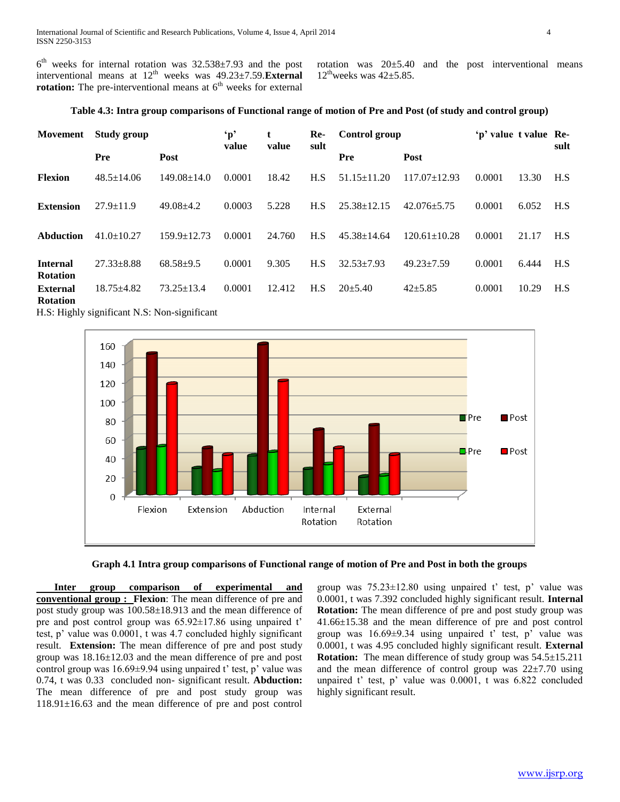$6<sup>th</sup>$  weeks for internal rotation was  $32.538\pm7.93$  and the post interventional means at  $12<sup>th</sup>$  weeks was  $49.23 \pm 7.59$ . **External rotation:** The pre-interventional means at  $6<sup>th</sup>$  weeks for external

rotation was  $20±5.40$  and the post interventional means  $12^{\text{th}}$ weeks was  $42\pm5.85$ .

# **Table 4.3: Intra group comparisons of Functional range of motion of Pre and Post (of study and control group)**

| Movement                           | <b>Study group</b> |                   | $\mathbf{p}'$ | t<br>value | Re-<br>sult | Control group     |                    | 'p' value t value Re- |       | sult |
|------------------------------------|--------------------|-------------------|---------------|------------|-------------|-------------------|--------------------|-----------------------|-------|------|
|                                    | Pre                | Post              | value         |            |             | Pre               | Post               |                       |       |      |
| <b>Flexion</b>                     | $48.5 \pm 14.06$   | $149.08 \pm 14.0$ | 0.0001        | 18.42      | H.S         | $51.15 \pm 11.20$ | $117.07 \pm 12.93$ | 0.0001                | 13.30 | H.S  |
| <b>Extension</b>                   | $27.9 \pm 11.9$    | $49.08 \pm 4.2$   | 0.0003        | 5.228      | H.S         | $25.38 \pm 12.15$ | $42.076 + 5.75$    | 0.0001                | 6.052 | H.S  |
| Abduction                          | $41.0 \pm 10.27$   | $159.9 \pm 12.73$ | 0.0001        | 24.760     | H.S         | $45.38 \pm 14.64$ | $120.61 \pm 10.28$ | 0.0001                | 21.17 | H.S  |
| <b>Internal</b><br><b>Rotation</b> | $27.33 \pm 8.88$   | $68.58 + 9.5$     | 0.0001        | 9.305      | H.S         | $32.53 \pm 7.93$  | $49.23 \pm 7.59$   | 0.0001                | 6.444 | H.S  |
| <b>External</b><br><b>Rotation</b> | $18.75 + 4.82$     | $73.25 \pm 13.4$  | 0.0001        | 12.412     | H.S         | $20+5.40$         | $42 + 5.85$        | 0.0001                | 10.29 | H.S  |

H.S: Highly significant N.S: Non-significant





 **Inter group comparison of experimental and conventional group : Flexion**: The mean difference of pre and post study group was 100.58±18.913 and the mean difference of pre and post control group was 65.92±17.86 using unpaired t' test, p' value was 0.0001, t was 4.7 concluded highly significant result. **Extension:** The mean difference of pre and post study group was 18.16±12.03 and the mean difference of pre and post control group was 16.69±9.94 using unpaired t' test, p' value was 0.74, t was 0.33 concluded non- significant result. **Abduction:** The mean difference of pre and post study group was 118.91±16.63 and the mean difference of pre and post control

group was  $75.23 \pm 12.80$  using unpaired t' test, p' value was 0.0001, t was 7.392 concluded highly significant result. **Internal Rotation:** The mean difference of pre and post study group was 41.66±15.38 and the mean difference of pre and post control group was 16.69±9.34 using unpaired t' test, p' value was 0.0001, t was 4.95 concluded highly significant result. **External Rotation:** The mean difference of study group was 54.5±15.211 and the mean difference of control group was  $22\pm7.70$  using unpaired t' test, p' value was 0.0001, t was 6.822 concluded highly significant result.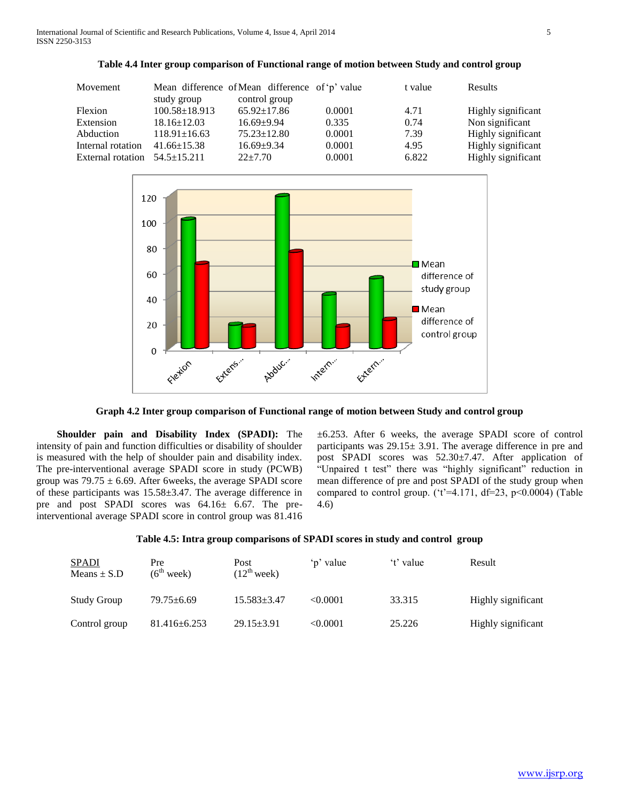International Journal of Scientific and Research Publications, Volume 4, Issue 4, April 2014 5 ISSN 2250-3153

| Movement                            | study group         | Mean difference of Mean difference of 'p' value<br>control group |        | t value | Results            |
|-------------------------------------|---------------------|------------------------------------------------------------------|--------|---------|--------------------|
| Flexion                             | $100.58 \pm 18.913$ | $65.92 \pm 17.86$                                                | 0.0001 | 4.71    | Highly significant |
| Extension                           | $18.16 \pm 12.03$   | $16.69 + 9.94$                                                   | 0.335  | 0.74    | Non significant    |
| Abduction                           | $118.91 \pm 16.63$  | $75.23 \pm 12.80$                                                | 0.0001 | 7.39    | Highly significant |
| Internal rotation                   | $41.66 \pm 15.38$   | $16.69 + 9.34$                                                   | 0.0001 | 4.95    | Highly significant |
| External rotation $54.5 \pm 15.211$ |                     | $22 + 7.70$                                                      | 0.0001 | 6.822   | Highly significant |





**Graph 4.2 Inter group comparison of Functional range of motion between Study and control group**

 **Shoulder pain and Disability Index (SPADI):** The intensity of pain and function difficulties or disability of shoulder is measured with the help of shoulder pain and disability index. The pre-interventional average SPADI score in study (PCWB) group was  $79.75 \pm 6.69$ . After 6weeks, the average SPADI score of these participants was 15.58±3.47. The average difference in pre and post SPADI scores was 64.16± 6.67. The preinterventional average SPADI score in control group was 81.416 ±6.253. After 6 weeks, the average SPADI score of control participants was 29.15± 3.91. The average difference in pre and post SPADI scores was 52.30±7.47. After application of "Unpaired t test" there was "highly significant" reduction in mean difference of pre and post SPADI of the study group when compared to control group. ('t'=4.171, df=23, p<0.0004) (Table 4.6)

## **Table 4.5: Intra group comparisons of SPADI scores in study and control group**

| SPADI<br>Means $\pm$ S.D | Pre<br>$(6^{th}$ week) | Post<br>$(12^{th}$ week) | 'p' value | 't' value | Result             |
|--------------------------|------------------------|--------------------------|-----------|-----------|--------------------|
| Study Group              | $79.75 \pm 6.69$       | $15.583 \pm 3.47$        | < 0.0001  | 33.315    | Highly significant |
| Control group            | $81.416 \pm 6.253$     | $29.15 \pm 3.91$         | < 0.0001  | 25.226    | Highly significant |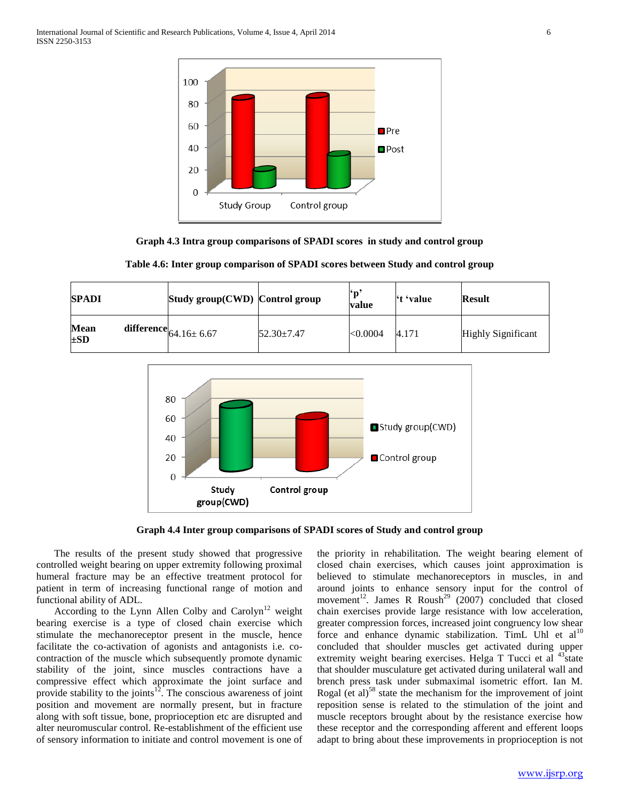International Journal of Scientific and Research Publications, Volume 4, Issue 4, April 2014 6 ISSN 2250-3153



**Graph 4.3 Intra group comparisons of SPADI scores in study and control group**

| <b>SPADI</b>            | Study group( $\text{CWD}$ ) Control group |                  | ۴n<br>value | <sup>'t</sup> 'value | <b>Result</b>             |
|-------------------------|-------------------------------------------|------------------|-------------|----------------------|---------------------------|
| <b>Mean</b><br>$\pm SD$ | $\textbf{difference}  _{64.16 \pm 6.67}$  | $52.30 \pm 7.47$ | <0.0004     | 4.171                | <b>Highly Significant</b> |

**Table 4.6: Inter group comparison of SPADI scores between Study and control group**



**Graph 4.4 Inter group comparisons of SPADI scores of Study and control group**

 The results of the present study showed that progressive controlled weight bearing on upper extremity following proximal humeral fracture may be an effective treatment protocol for patient in term of increasing functional range of motion and functional ability of ADL.

According to the Lynn Allen Colby and Carolyn<sup>12</sup> weight bearing exercise is a type of closed chain exercise which stimulate the mechanoreceptor present in the muscle, hence facilitate the co-activation of agonists and antagonists i.e. cocontraction of the muscle which subsequently promote dynamic stability of the joint, since muscles contractions have a compressive effect which approximate the joint surface and provide stability to the joints<sup>12</sup>. The conscious awareness of joint position and movement are normally present, but in fracture along with soft tissue, bone, proprioception etc are disrupted and alter neuromuscular control. Re-establishment of the efficient use of sensory information to initiate and control movement is one of the priority in rehabilitation. The weight bearing element of closed chain exercises, which causes joint approximation is believed to stimulate mechanoreceptors in muscles, in and around joints to enhance sensory input for the control of movement<sup>12</sup>. James R Roush<sup>29</sup> (2007) concluded that closed chain exercises provide large resistance with low acceleration, greater compression forces, increased joint congruency low shear force and enhance dynamic stabilization. TimL Uhl et  $al<sup>10</sup>$ concluded that shoulder muscles get activated during upper extremity weight bearing exercises. Helga T Tucci et al  $43\frac{1}{3}$  state that shoulder musculature get activated during unilateral wall and brench press task under submaximal isometric effort. Ian M. Rogal (et al)<sup>58</sup> state the mechanism for the improvement of joint reposition sense is related to the stimulation of the joint and muscle receptors brought about by the resistance exercise how these receptor and the corresponding afferent and efferent loops adapt to bring about these improvements in proprioception is not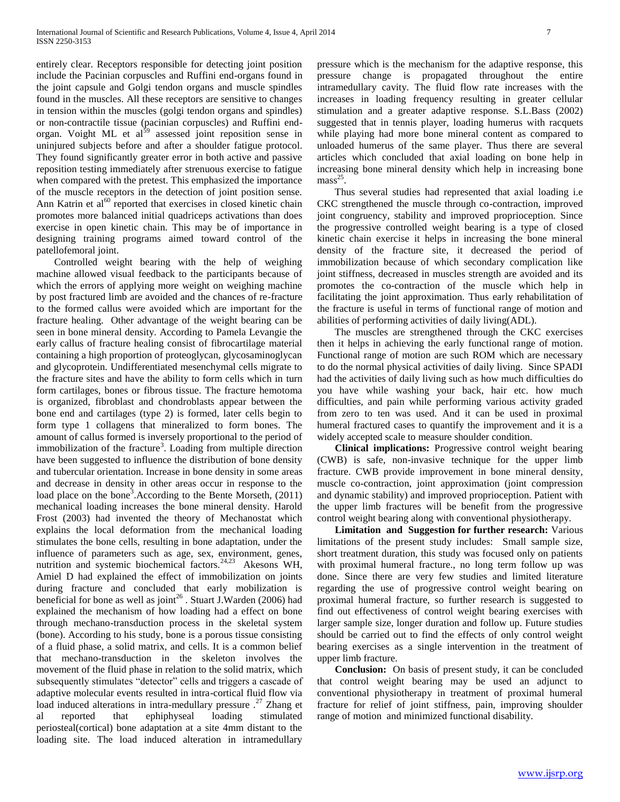entirely clear. Receptors responsible for detecting joint position include the Pacinian corpuscles and Ruffini end-organs found in the joint capsule and Golgi tendon organs and muscle spindles found in the muscles. All these receptors are sensitive to changes in tension within the muscles (golgi tendon organs and spindles) or non-contractile tissue (pacinian corpuscles) and Ruffini endorgan. Voight ML et al<sup>59</sup> assessed joint reposition sense in uninjured subjects before and after a shoulder fatigue protocol. They found significantly greater error in both active and passive reposition testing immediately after strenuous exercise to fatigue when compared with the pretest. This emphasized the importance of the muscle receptors in the detection of joint position sense. Ann Katrin et  $a1^{60}$  reported that exercises in closed kinetic chain promotes more balanced initial quadriceps activations than does exercise in open kinetic chain. This may be of importance in designing training programs aimed toward control of the patellofemoral joint.

 Controlled weight bearing with the help of weighing machine allowed visual feedback to the participants because of which the errors of applying more weight on weighing machine by post fractured limb are avoided and the chances of re-fracture to the formed callus were avoided which are important for the fracture healing. Other advantage of the weight bearing can be seen in bone mineral density. According to Pamela Levangie the early callus of fracture healing consist of fibrocartilage material containing a high proportion of proteoglycan, glycosaminoglycan and glycoprotein. Undifferentiated mesenchymal cells migrate to the fracture sites and have the ability to form cells which in turn form cartilages, bones or fibrous tissue. The fracture hemotoma is organized, fibroblast and chondroblasts appear between the bone end and cartilages (type 2) is formed, later cells begin to form type 1 collagens that mineralized to form bones. The amount of callus formed is inversely proportional to the period of immobilization of the fracture<sup>3</sup>. Loading from multiple direction have been suggested to influence the distribution of bone density and tubercular orientation. Increase in bone density in some areas and decrease in density in other areas occur in response to the load place on the bone<sup>3</sup>. According to the Bente Morseth,  $(2011)$ mechanical loading increases the bone mineral density. Harold Frost (2003) had invented the theory of Mechanostat which explains the local deformation from the mechanical loading stimulates the bone cells, resulting in bone adaptation, under the influence of parameters such as age, sex, environment, genes, nutrition and systemic biochemical factors.<sup>24,23</sup> Akesons WH, Amiel D had explained the effect of immobilization on joints during fracture and concluded that early mobilization is beneficial for bone as well as joint<sup>26</sup>. Stuart J.Warden (2006) had explained the mechanism of how loading had a effect on bone through mechano-transduction process in the skeletal system (bone). According to his study, bone is a porous tissue consisting of a fluid phase, a solid matrix, and cells. It is a common belief that mechano-transduction in the skeleton involves the movement of the fluid phase in relation to the solid matrix, which subsequently stimulates "detector" cells and triggers a cascade of adaptive molecular events resulted in intra-cortical fluid flow via load induced alterations in intra-medullary pressure .<sup>27</sup> Zhang et reported that ephiphyseal loading stimulated periosteal(cortical) bone adaptation at a site 4mm distant to the loading site. The load induced alteration in intramedullary

pressure which is the mechanism for the adaptive response, this pressure change is propagated throughout the entire intramedullary cavity. The fluid flow rate increases with the increases in loading frequency resulting in greater cellular stimulation and a greater adaptive response. S.L.Bass (2002) suggested that in tennis player, loading humerus with racquets while playing had more bone mineral content as compared to unloaded humerus of the same player. Thus there are several articles which concluded that axial loading on bone help in increasing bone mineral density which help in increasing bone  $mass<sup>25</sup>$ .

 Thus several studies had represented that axial loading i.e CKC strengthened the muscle through co-contraction, improved joint congruency, stability and improved proprioception. Since the progressive controlled weight bearing is a type of closed kinetic chain exercise it helps in increasing the bone mineral density of the fracture site, it decreased the period of immobilization because of which secondary complication like joint stiffness, decreased in muscles strength are avoided and its promotes the co-contraction of the muscle which help in facilitating the joint approximation. Thus early rehabilitation of the fracture is useful in terms of functional range of motion and abilities of performing activities of daily living(ADL).

 The muscles are strengthened through the CKC exercises then it helps in achieving the early functional range of motion. Functional range of motion are such ROM which are necessary to do the normal physical activities of daily living. Since SPADI had the activities of daily living such as how much difficulties do you have while washing your back, hair etc. how much difficulties, and pain while performing various activity graded from zero to ten was used. And it can be used in proximal humeral fractured cases to quantify the improvement and it is a widely accepted scale to measure shoulder condition.

 **Clinical implications:** Progressive control weight bearing (CWB) is safe, non-invasive technique for the upper limb fracture. CWB provide improvement in bone mineral density, muscle co-contraction, joint approximation (joint compression and dynamic stability) and improved proprioception. Patient with the upper limb fractures will be benefit from the progressive control weight bearing along with conventional physiotherapy.

 **Limitation and Suggestion for further research:** Various limitations of the present study includes: Small sample size, short treatment duration, this study was focused only on patients with proximal humeral fracture., no long term follow up was done. Since there are very few studies and limited literature regarding the use of progressive control weight bearing on proximal humeral fracture, so further research is suggested to find out effectiveness of control weight bearing exercises with larger sample size, longer duration and follow up. Future studies should be carried out to find the effects of only control weight bearing exercises as a single intervention in the treatment of upper limb fracture.

 **Conclusion:** On basis of present study, it can be concluded that control weight bearing may be used an adjunct to conventional physiotherapy in treatment of proximal humeral fracture for relief of joint stiffness, pain, improving shoulder range of motion and minimized functional disability.